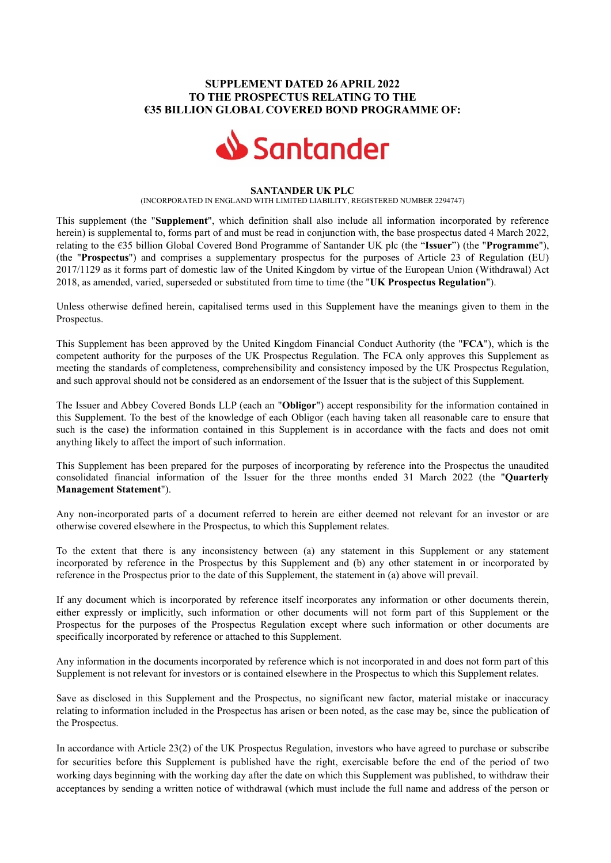## SUPPLEMENT DATED 26 APRIL 2022 TO THE PROSPECTUS RELATING TO THE €35 BILLION GLOBAL COVERED BOND PROGRAMME OF:



## SANTANDER UK PLC

(INCORPORATED IN ENGLAND WITH LIMITED LIABILITY, REGISTERED NUMBER 2294747)

This supplement (the "Supplement", which definition shall also include all information incorporated by reference herein) is supplemental to, forms part of and must be read in conjunction with, the base prospectus dated 4 March 2022, relating to the €35 billion Global Covered Bond Programme of Santander UK plc (the "Issuer") (the "Programme"), (the "Prospectus") and comprises a supplementary prospectus for the purposes of Article 23 of Regulation (EU) 2017/1129 as it forms part of domestic law of the United Kingdom by virtue of the European Union (Withdrawal) Act 2018, as amended, varied, superseded or substituted from time to time (the "UK Prospectus Regulation").

Unless otherwise defined herein, capitalised terms used in this Supplement have the meanings given to them in the Prospectus.

This Supplement has been approved by the United Kingdom Financial Conduct Authority (the "FCA"), which is the competent authority for the purposes of the UK Prospectus Regulation. The FCA only approves this Supplement as meeting the standards of completeness, comprehensibility and consistency imposed by the UK Prospectus Regulation, and such approval should not be considered as an endorsement of the Issuer that is the subject of this Supplement.

The Issuer and Abbey Covered Bonds LLP (each an "Obligor") accept responsibility for the information contained in this Supplement. To the best of the knowledge of each Obligor (each having taken all reasonable care to ensure that such is the case) the information contained in this Supplement is in accordance with the facts and does not omit anything likely to affect the import of such information.

This Supplement has been prepared for the purposes of incorporating by reference into the Prospectus the unaudited consolidated financial information of the Issuer for the three months ended 31 March 2022 (the "Quarterly Management Statement").

Any non-incorporated parts of a document referred to herein are either deemed not relevant for an investor or are otherwise covered elsewhere in the Prospectus, to which this Supplement relates.

To the extent that there is any inconsistency between (a) any statement in this Supplement or any statement incorporated by reference in the Prospectus by this Supplement and (b) any other statement in or incorporated by reference in the Prospectus prior to the date of this Supplement, the statement in (a) above will prevail.

If any document which is incorporated by reference itself incorporates any information or other documents therein, either expressly or implicitly, such information or other documents will not form part of this Supplement or the Prospectus for the purposes of the Prospectus Regulation except where such information or other documents are specifically incorporated by reference or attached to this Supplement.

Any information in the documents incorporated by reference which is not incorporated in and does not form part of this Supplement is not relevant for investors or is contained elsewhere in the Prospectus to which this Supplement relates.

Save as disclosed in this Supplement and the Prospectus, no significant new factor, material mistake or inaccuracy relating to information included in the Prospectus has arisen or been noted, as the case may be, since the publication of the Prospectus.

In accordance with Article 23(2) of the UK Prospectus Regulation, investors who have agreed to purchase or subscribe for securities before this Supplement is published have the right, exercisable before the end of the period of two working days beginning with the working day after the date on which this Supplement was published, to withdraw their acceptances by sending a written notice of withdrawal (which must include the full name and address of the person or